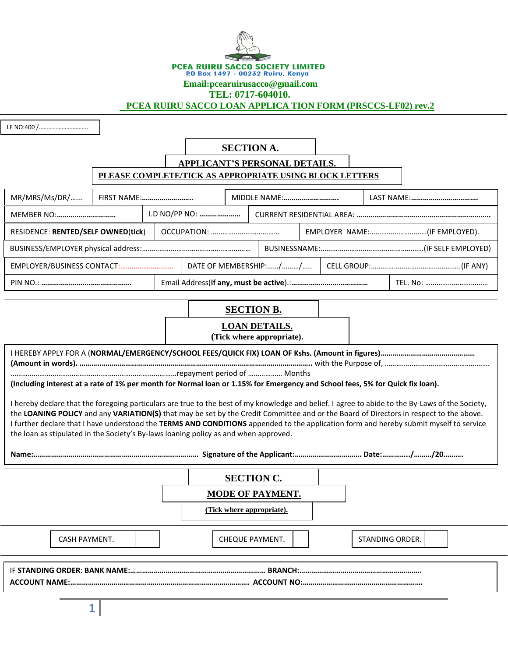

# **Email:pcearuirusacco@gmail.com**

#### **TEL: 0717-604010.**

 **PCEA RUIRU SACCO LOAN APPLICA TION FORM (PRSCCS-LF02) rev.2**

LF NO:400 /…………………………..

**8**

# **SECTION A.**

# **APPLICANT'S PERSONAL DETAILS.**

### **PLEASE COMPLETE/TICK AS APPROPRIATE USING BLOCK LETTERS**

| MR/MRS/Ms/DR/                      | FIRST NAME:   |  | MIDDLE NAME:          |  |                              |  |  | LAST NAME: |  |
|------------------------------------|---------------|--|-----------------------|--|------------------------------|--|--|------------|--|
|                                    | I.D NO/PP NO: |  |                       |  |                              |  |  |            |  |
| RESIDENCE: RENTED/SELF OWNED(tick) |               |  |                       |  | EMPLOYER NAME:(IF EMPLOYED). |  |  |            |  |
|                                    |               |  |                       |  |                              |  |  |            |  |
| EMPLOYER/BUSINESS CONTACT:         |               |  | DATE OF MEMBERSHIP:// |  |                              |  |  |            |  |
|                                    |               |  |                       |  |                              |  |  |            |  |

# **SECTION B.**

| <b>LOAN DETAILS.</b>      |  |  |  |  |
|---------------------------|--|--|--|--|
| (Tick where appropriate). |  |  |  |  |

|                                                                                                                                                                                                                                                                                                                                                                                                                                                                                                                              | (Including interest at a rate of 1% per month for Normal loan or 1.15% for Emergency and School fees, 5% for Quick fix loan). |                 |  |  |  |
|------------------------------------------------------------------------------------------------------------------------------------------------------------------------------------------------------------------------------------------------------------------------------------------------------------------------------------------------------------------------------------------------------------------------------------------------------------------------------------------------------------------------------|-------------------------------------------------------------------------------------------------------------------------------|-----------------|--|--|--|
| I hereby declare that the foregoing particulars are true to the best of my knowledge and belief. I agree to abide to the By-Laws of the Society,<br>the LOANING POLICY and any VARIATION(S) that may be set by the Credit Committee and or the Board of Directors in respect to the above.<br>I further declare that I have understood the TERMS AND CONDITIONS appended to the application form and hereby submit myself to service<br>the loan as stipulated in the Society's By-laws loaning policy as and when approved. |                                                                                                                               |                 |  |  |  |
|                                                                                                                                                                                                                                                                                                                                                                                                                                                                                                                              | <b>SECTION C.</b>                                                                                                             |                 |  |  |  |
|                                                                                                                                                                                                                                                                                                                                                                                                                                                                                                                              | <b>MODE OF PAYMENT.</b>                                                                                                       |                 |  |  |  |
|                                                                                                                                                                                                                                                                                                                                                                                                                                                                                                                              | (Tick where appropriate).                                                                                                     |                 |  |  |  |
| <b>CASH PAYMENT.</b>                                                                                                                                                                                                                                                                                                                                                                                                                                                                                                         | CHEQUE PAYMENT.                                                                                                               | STANDING ORDER. |  |  |  |
|                                                                                                                                                                                                                                                                                                                                                                                                                                                                                                                              |                                                                                                                               |                 |  |  |  |
|                                                                                                                                                                                                                                                                                                                                                                                                                                                                                                                              |                                                                                                                               |                 |  |  |  |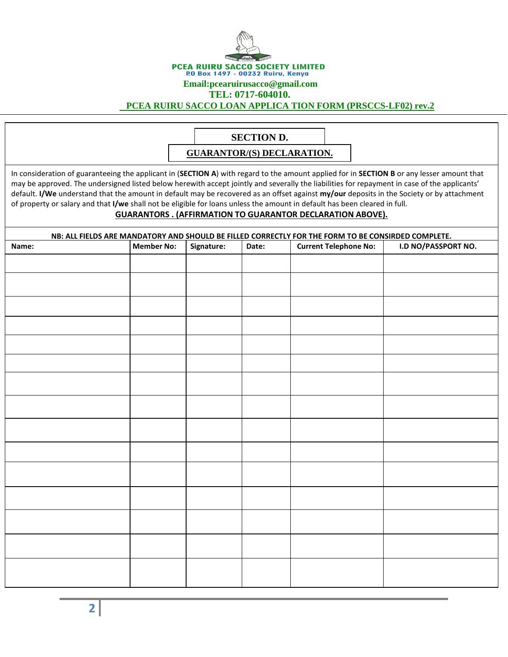

#### **Email:pcearuirusacco@gmail.com**

**TEL: 0717-604010.**

 **PCEA RUIRU SACCO LOAN APPLICA TION FORM (PRSCCS-LF02) rev.2**

# **SECTION D.**

**GUARANTOR/(S) DECLARATION.**

In consideration of guaranteeing the applicant in (**SECTION A**) with regard to the amount applied for in **SECTION B** or any lesser amount that may be approved. The undersigned listed below herewith accept jointly and severally the liabilities for repayment in case of the applicants' default. **I/We** understand that the amount in default may be recovered as an offset against **my/our** deposits in the Society or by attachment of property or salary and that **I/we** shall not be eligible for loans unless the amount in default has been cleared in full.

#### **GUARANTORS . (AFFIRMATION TO GUARANTOR DECLARATION ABOVE).**

| NB: ALL FIELDS ARE MANDATORY AND SHOULD BE FILLED CORRECTLY FOR THE FORM TO BE CONSIRDED COMPLETE. |                   |            |       |                              |                     |
|----------------------------------------------------------------------------------------------------|-------------------|------------|-------|------------------------------|---------------------|
| Name:                                                                                              | <b>Member No:</b> | Signature: | Date: | <b>Current Telephone No:</b> | I.D NO/PASSPORT NO. |
|                                                                                                    |                   |            |       |                              |                     |
|                                                                                                    |                   |            |       |                              |                     |
|                                                                                                    |                   |            |       |                              |                     |
|                                                                                                    |                   |            |       |                              |                     |
|                                                                                                    |                   |            |       |                              |                     |
|                                                                                                    |                   |            |       |                              |                     |
|                                                                                                    |                   |            |       |                              |                     |
|                                                                                                    |                   |            |       |                              |                     |
|                                                                                                    |                   |            |       |                              |                     |
|                                                                                                    |                   |            |       |                              |                     |
|                                                                                                    |                   |            |       |                              |                     |
|                                                                                                    |                   |            |       |                              |                     |
|                                                                                                    |                   |            |       |                              |                     |
|                                                                                                    |                   |            |       |                              |                     |
|                                                                                                    |                   |            |       |                              |                     |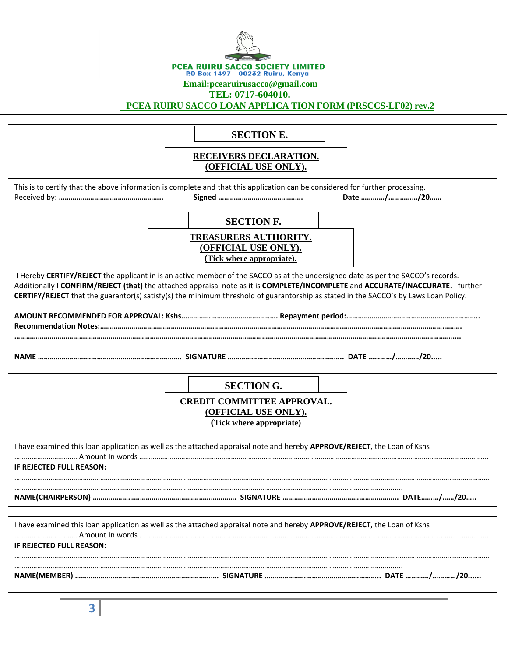

#### **Email:pcearuirusacco@gmail.com**

**TEL: 0717-604010.**

 **PCEA RUIRU SACCO LOAN APPLICA TION FORM (PRSCCS-LF02) rev.2**

|                                                                                                                                                                                                                                                                                                                                                                                                              | <b>SECTION E.</b>                                                                     |  |  |  |  |  |
|--------------------------------------------------------------------------------------------------------------------------------------------------------------------------------------------------------------------------------------------------------------------------------------------------------------------------------------------------------------------------------------------------------------|---------------------------------------------------------------------------------------|--|--|--|--|--|
|                                                                                                                                                                                                                                                                                                                                                                                                              | <b>RECEIVERS DECLARATION.</b><br>(OFFICIAL USE ONLY).                                 |  |  |  |  |  |
| This is to certify that the above information is complete and that this application can be considered for further processing.<br>Date //20                                                                                                                                                                                                                                                                   |                                                                                       |  |  |  |  |  |
|                                                                                                                                                                                                                                                                                                                                                                                                              | <b>SECTION F.</b>                                                                     |  |  |  |  |  |
|                                                                                                                                                                                                                                                                                                                                                                                                              | <b>TREASURERS AUTHORITY.</b><br>(OFFICIAL USE ONLY).<br>(Tick where appropriate).     |  |  |  |  |  |
| I Hereby CERTIFY/REJECT the applicant in is an active member of the SACCO as at the undersigned date as per the SACCO's records.<br>Additionally I CONFIRM/REJECT (that) the attached appraisal note as it is COMPLETE/INCOMPLETE and ACCURATE/INACCURATE. I further<br>CERTIFY/REJECT that the guarantor(s) satisfy(s) the minimum threshold of guarantorship as stated in the SACCO's by Laws Loan Policy. |                                                                                       |  |  |  |  |  |
|                                                                                                                                                                                                                                                                                                                                                                                                              |                                                                                       |  |  |  |  |  |
|                                                                                                                                                                                                                                                                                                                                                                                                              |                                                                                       |  |  |  |  |  |
|                                                                                                                                                                                                                                                                                                                                                                                                              | <b>SECTION G.</b>                                                                     |  |  |  |  |  |
|                                                                                                                                                                                                                                                                                                                                                                                                              | <b>CREDIT COMMITTEE APPROVAL.</b><br>(OFFICIAL USE ONLY).<br>(Tick where appropriate) |  |  |  |  |  |
| I have examined this loan application as well as the attached appraisal note and hereby APPROVE/REJECT, the Loan of Kshs                                                                                                                                                                                                                                                                                     |                                                                                       |  |  |  |  |  |
| IF REJECTED FULL REASON:                                                                                                                                                                                                                                                                                                                                                                                     |                                                                                       |  |  |  |  |  |
|                                                                                                                                                                                                                                                                                                                                                                                                              |                                                                                       |  |  |  |  |  |
| I have examined this loan application as well as the attached appraisal note and hereby APPROVE/REJECT, the Loan of Kshs<br>IF REJECTED FULL REASON:                                                                                                                                                                                                                                                         |                                                                                       |  |  |  |  |  |
|                                                                                                                                                                                                                                                                                                                                                                                                              |                                                                                       |  |  |  |  |  |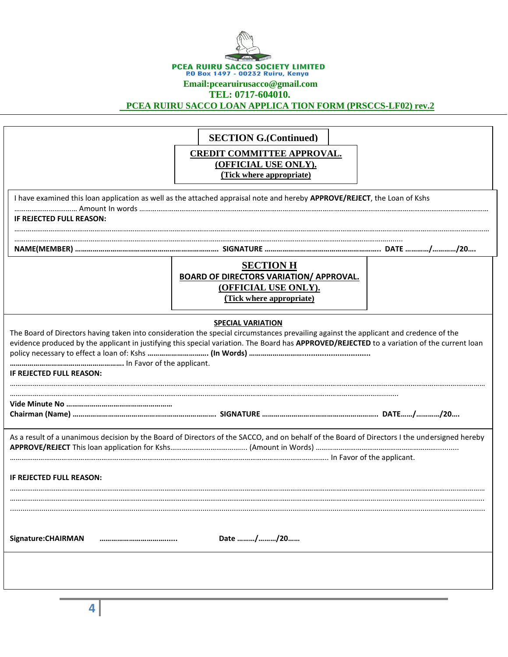| PCEA RUIRU SACCO SOCIETY LIMITED                                      |                                                                                                                                                                   |  |  |  |  |  |
|-----------------------------------------------------------------------|-------------------------------------------------------------------------------------------------------------------------------------------------------------------|--|--|--|--|--|
| P.O Box 1497 - 00232 Ruiru, Kenya<br>Email: pcearuirus acco@gmail.com |                                                                                                                                                                   |  |  |  |  |  |
|                                                                       | TEL: 0717-604010.<br>PCEA RUIRU SACCO LOAN APPLICA TION FORM (PRSCCS-LF02) rev.2                                                                                  |  |  |  |  |  |
|                                                                       |                                                                                                                                                                   |  |  |  |  |  |
|                                                                       | <b>SECTION G.(Continued)</b>                                                                                                                                      |  |  |  |  |  |
|                                                                       | <b>CREDIT COMMITTEE APPROVAL.</b>                                                                                                                                 |  |  |  |  |  |
|                                                                       | (OFFICIAL USE ONLY).                                                                                                                                              |  |  |  |  |  |
|                                                                       | (Tick where appropriate)                                                                                                                                          |  |  |  |  |  |
|                                                                       | I have examined this loan application as well as the attached appraisal note and hereby APPROVE/REJECT, the Loan of Kshs                                          |  |  |  |  |  |
| <b>IF REJECTED FULL REASON:</b>                                       |                                                                                                                                                                   |  |  |  |  |  |
|                                                                       |                                                                                                                                                                   |  |  |  |  |  |
|                                                                       | NAME(MEMBER) ……………………………………………………………… SIGNATURE ………………………………………………… DATE …………/…………/20…                                                                            |  |  |  |  |  |
|                                                                       | <b>SECTION H</b>                                                                                                                                                  |  |  |  |  |  |
|                                                                       | <b>BOARD OF DIRECTORS VARIATION/ APPROVAL.</b>                                                                                                                    |  |  |  |  |  |
|                                                                       | (OFFICIAL USE ONLY).<br>(Tick where appropriate)                                                                                                                  |  |  |  |  |  |
|                                                                       |                                                                                                                                                                   |  |  |  |  |  |
|                                                                       | <b>SPECIAL VARIATION</b><br>The Board of Directors having taken into consideration the special circumstances prevailing against the applicant and credence of the |  |  |  |  |  |
|                                                                       | evidence produced by the applicant in justifying this special variation. The Board has APPROVED/REJECTED to a variation of the current loan                       |  |  |  |  |  |
|                                                                       |                                                                                                                                                                   |  |  |  |  |  |
| IF REJECTED FULL REASON:                                              |                                                                                                                                                                   |  |  |  |  |  |
|                                                                       |                                                                                                                                                                   |  |  |  |  |  |
|                                                                       |                                                                                                                                                                   |  |  |  |  |  |
|                                                                       |                                                                                                                                                                   |  |  |  |  |  |
|                                                                       | As a result of a unanimous decision by the Board of Directors of the SACCO, and on behalf of the Board of Directors I the undersigned hereby                      |  |  |  |  |  |
|                                                                       |                                                                                                                                                                   |  |  |  |  |  |
| IF REJECTED FULL REASON:                                              |                                                                                                                                                                   |  |  |  |  |  |
|                                                                       |                                                                                                                                                                   |  |  |  |  |  |
|                                                                       |                                                                                                                                                                   |  |  |  |  |  |
|                                                                       |                                                                                                                                                                   |  |  |  |  |  |
| Signature: CHAIRMAN<br>                                               | Date //20                                                                                                                                                         |  |  |  |  |  |
|                                                                       |                                                                                                                                                                   |  |  |  |  |  |
|                                                                       |                                                                                                                                                                   |  |  |  |  |  |
|                                                                       |                                                                                                                                                                   |  |  |  |  |  |

**4**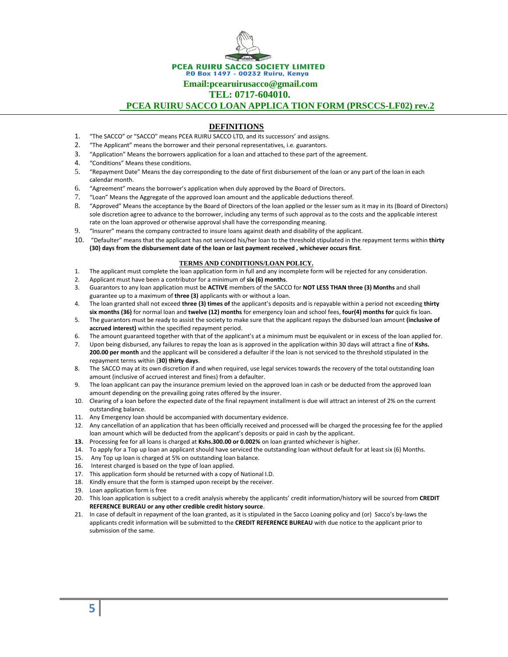PCEA RUIRU SACCO SOCIETY LIMITED P.0 Box 1497 - 00232 Ruiru, Kenya

 **Email:pcearuirusacco@gmail.com** 

**TEL: 0717-604010.**

 **PCEA RUIRU SACCO LOAN APPLICA TION FORM (PRSCCS-LF02) rev.2**

#### **DEFINITIONS**

- 1. "The SACCO" or "SACCO" means PCEA RUIRU SACCO LTD, and its successors' and assigns.
- 2. "The Applicant" means the borrower and their personal representatives, i.e. guarantors.
- 3. "Application" Means the borrowers application for a loan and attached to these part of the agreement.
- 4. "Conditions" Means these conditions.
- 5. "Repayment Date" Means the day corresponding to the date of first disbursement of the loan or any part of the loan in each calendar month.
- 6. "Agreement" means the borrower's application when duly approved by the Board of Directors.
- 7. "Loan" Means the Aggregate of the approved loan amount and the applicable deductions thereof.
- 8. "Approved" Means the acceptance by the Board of Directors of the loan applied or the lesser sum as it may in its (Board of Directors) sole discretion agree to advance to the borrower, including any terms of such approval as to the costs and the applicable interest rate on the loan approved or otherwise approval shall have the corresponding meaning.
- 9. "Insurer" means the company contracted to insure loans against death and disability of the applicant.
- 10. "Defaulter" means that the applicant has not serviced his/her loan to the threshold stipulated in the repayment terms within **thirty (30) days from the disbursement date of the loan or last payment received , whichever occurs first**.

#### **TERMS AND CONDITIONS/LOAN POLICY.**

- 1. The applicant must complete the loan application form in full and any incomplete form will be rejected for any consideration.
- 2. Applicant must have been a contributor for a minimum of **six (6) months**.
- 3. Guarantors to any loan application must be **ACTIVE** members of the SACCO for **NOT LESS THAN three (3) Months** and shall guarantee up to a maximum of **three (3)** applicants with or without a loan.
- 4. The loan granted shall not exceed **three (3) times of** the applicant's deposits and is repayable within a period not exceeding **thirty six months (36)** for normal loan and **twelve (12) months** for emergency loan and school fees, **four(4) months for** quick fix loan.
- 5. The guarantors must be ready to assist the society to make sure that the applicant repays the disbursed loan amount **(inclusive of accrued interest)** within the specified repayment period.
- 6. The amount guaranteed together with that of the applicant's at a minimum must be equivalent or in excess of the loan applied for.
- 7. Upon being disbursed, any failures to repay the loan as is approved in the application within 30 days will attract a fine of **Kshs. 200.00 per month** and the applicant will be considered a defaulter if the loan is not serviced to the threshold stipulated in the repayment terms within (**30) thirty days**.
- 8. The SACCO may at its own discretion if and when required, use legal services towards the recovery of the total outstanding loan amount (inclusive of accrued interest and fines) from a defaulter.
- 9. The loan applicant can pay the insurance premium levied on the approved loan in cash or be deducted from the approved loan amount depending on the prevailing going rates offered by the insurer.
- 10. Clearing of a loan before the expected date of the final repayment installment is due will attract an interest of 2% on the current outstanding balance.
- 11. Any Emergency loan should be accompanied with documentary evidence.
- 12. Any cancellation of an application that has been officially received and processed will be charged the processing fee for the applied loan amount which will be deducted from the applicant's deposits or paid in cash by the applicant.
- **13.** Processing fee for all loans is charged at **Kshs.300.00 or 0.002%** on loan granted whichever is higher.
- 14. To apply for a Top up loan an applicant should have serviced the outstanding loan without default for at least six (6) Months.
- 15. Any Top up loan is charged at 5% on outstanding loan balance.
- 16. Interest charged is based on the type of loan applied.
- 17. This application form should be returned with a copy of National I.D.
- 18. Kindly ensure that the form is stamped upon receipt by the receiver.
- 19. Loan application form is free
- 20. This loan application is subject to a credit analysis whereby the applicants' credit information/history will be sourced from **CREDIT REFERENCE BUREAU or any other credible credit history source**.
- 21. In case of default in repayment of the loan granted, as it is stipulated in the Sacco Loaning policy and (or) Sacco's by-laws the applicants credit information will be submitted to the **CREDIT REFERENCE BUREAU** with due notice to the applicant prior to submission of the same.